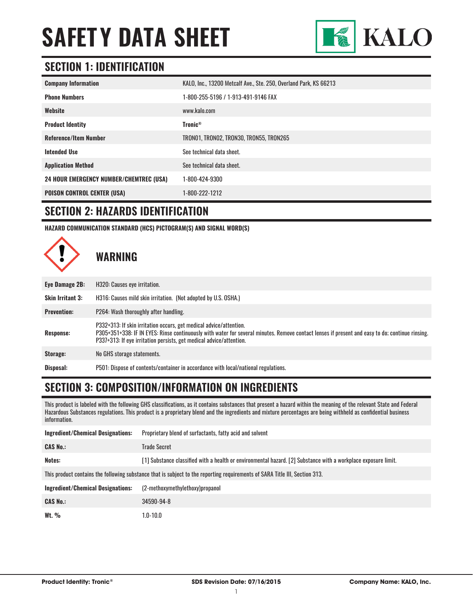

### **SECTION 1: IDENTIFICATION**

| <b>Company Information</b>                     | KALO, Inc., 13200 Metcalf Ave., Ste. 250, Overland Park, KS 66213 |
|------------------------------------------------|-------------------------------------------------------------------|
| <b>Phone Numbers</b>                           | 1-800-255-5196 / 1-913-491-9146 FAX                               |
| Website                                        | www.kalo.com                                                      |
| <b>Product Identity</b>                        | <b>Tronic®</b>                                                    |
| <b>Reference/Item Number</b>                   | TRONO1, TRONO2, TRON30, TRON55, TRON265                           |
| <b>Intended Use</b>                            | See technical data sheet.                                         |
| <b>Application Method</b>                      | See technical data sheet.                                         |
| <b>24 HOUR EMERGENCY NUMBER/CHEMTREC (USA)</b> | 1-800-424-9300                                                    |
| <b>POISON CONTROL CENTER (USA)</b>             | 1-800-222-1212                                                    |

#### **SECTION 2: HAZARDS IDENTIFICATION**

**HAZARD COMMUNICATION STANDARD (HCS) PICTOGRAM(S) AND SIGNAL WORD(S)**



| Eye Damage 2B:          | H320: Causes eye irritation.                                                                                                                                                                                                                                                                 |
|-------------------------|----------------------------------------------------------------------------------------------------------------------------------------------------------------------------------------------------------------------------------------------------------------------------------------------|
| <b>Skin Irritant 3:</b> | H316: Causes mild skin irritation. (Not adopted by U.S. OSHA.)                                                                                                                                                                                                                               |
| <b>Prevention:</b>      | P264: Wash thoroughly after handling.                                                                                                                                                                                                                                                        |
| Response:               | P332+313: If skin irritation occurs, get medical advice/attention.<br>P305+351+338: IF IN EYES: Rinse continuously with water for several minutes. Remove contact lenses if present and easy to do; continue rinsing.<br>P337+313: If eye irritation persists, get medical advice/attention. |
| Storage:                | No GHS storage statements.                                                                                                                                                                                                                                                                   |
| Disposal:               | P501: Dispose of contents/container in accordance with local/national regulations.                                                                                                                                                                                                           |

#### **SECTION 3: COMPOSITION/INFORMATION ON INGREDIENTS**

This product is labeled with the following GHS classifications, as it contains substances that present a hazard within the meaning of the relevant State and Federal Hazardous Substances regulations. This product is a proprietary blend and the ingredients and mixture percentages are being withheld as confidential business information.

| <b>Ingredient/Chemical Designations:</b>                                                                                    | Proprietary blend of surfactants, fatty acid and solvent                                                       |  |
|-----------------------------------------------------------------------------------------------------------------------------|----------------------------------------------------------------------------------------------------------------|--|
| <b>CAS No.:</b>                                                                                                             | <b>Trade Secret</b>                                                                                            |  |
| Notes:                                                                                                                      | [1] Substance classified with a health or environmental hazard. [2] Substance with a workplace exposure limit. |  |
| This product contains the following substance that is subject to the reporting requirements of SARA Title III, Section 313. |                                                                                                                |  |
| <b>Ingredient/Chemical Designations:</b>                                                                                    | (2-methoxymethylethoxy)propanol                                                                                |  |
| <b>CAS No.:</b>                                                                                                             | 34590-94-8                                                                                                     |  |
| Wt. $\%$                                                                                                                    | $1.0 - 10.0$                                                                                                   |  |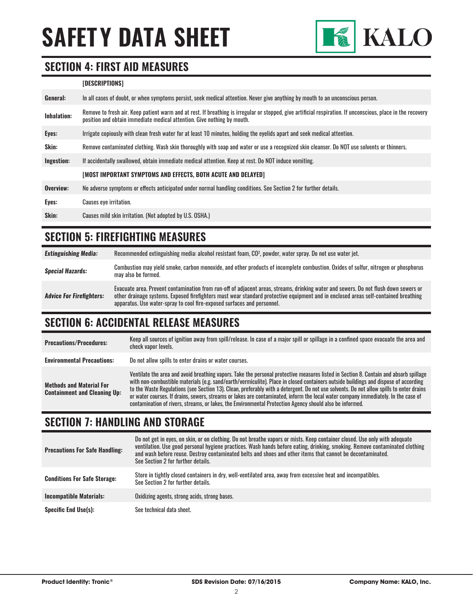

#### **SECTION 4: FIRST AID MEASURES**

#### **[DESCRIPTIONS]**

| General:    | In all cases of doubt, or when symptoms persist, seek medical attention. Never give anything by mouth to an unconscious person.                                                                                                         |
|-------------|-----------------------------------------------------------------------------------------------------------------------------------------------------------------------------------------------------------------------------------------|
| Inhalation: | Remove to fresh air. Keep patient warm and at rest. If breathing is irregular or stopped, give artificial respiration. If unconscious, place in the recovery<br>position and obtain immediate medical attention. Give nothing by mouth. |
| Eyes:       | Irrigate copiously with clean fresh water for at least 10 minutes, holding the eyelids apart and seek medical attention.                                                                                                                |
| Skin:       | Remove contaminated clothing. Wash skin thoroughly with soap and water or use a recognized skin cleanser. Do NOT use solvents or thinners.                                                                                              |
| Ingestion:  | If accidentally swallowed, obtain immediate medical attention. Keep at rest, Do NOT induce vomiting.                                                                                                                                    |
|             | <b>IMOST IMPORTANT SYMPTOMS AND EFFECTS. BOTH ACUTE AND DELAYED1</b>                                                                                                                                                                    |
| Overview:   | No adverse symptoms or effects anticipated under normal handling conditions. See Section 2 for further details.                                                                                                                         |
| Eyes:       | <b>Causes eye irritation.</b>                                                                                                                                                                                                           |
| Skin:       | Causes mild skin irritation. (Not adopted by U.S. OSHA.)                                                                                                                                                                                |

#### **SECTION 5: FIREFIGHTING MEASURES**

| <b>Extinguishing Media:</b>     | Recommended extinguishing media: alcohol resistant foam, CO <sup>2</sup> , powder, water spray. Do not use water jet.                                                                                                                                                                                                                                  |
|---------------------------------|--------------------------------------------------------------------------------------------------------------------------------------------------------------------------------------------------------------------------------------------------------------------------------------------------------------------------------------------------------|
| <b>Special Hazards:</b>         | Combustion may yield smoke, carbon monoxide, and other products of incomplete combustion. Oxides of sulfur, nitrogen or phosphorus<br>may also be formed.                                                                                                                                                                                              |
| <b>Advice For Firefighters:</b> | Evacuate area. Prevent contamination from run-off of adjacent areas, streams, drinking water and sewers. Do not flush down sewers or<br>other drainage systems. Exposed firefighters must wear standard protective equipment and in enclosed areas self-contained breathing<br>apparatus. Use water-spray to cool fire-exposed surfaces and personnel. |

#### **SECTION 6: ACCIDENTAL RELEASE MEASURES**

| <b>Precautions/Procedures:</b>                                         | Keep all sources of ignition away from spill/release. In case of a major spill or spillage in a confined space evacuate the area and<br>check vapor levels.                                                                                                                                                                                                                                                                                                                                                                                                                                                                                                               |
|------------------------------------------------------------------------|---------------------------------------------------------------------------------------------------------------------------------------------------------------------------------------------------------------------------------------------------------------------------------------------------------------------------------------------------------------------------------------------------------------------------------------------------------------------------------------------------------------------------------------------------------------------------------------------------------------------------------------------------------------------------|
| <b>Environmental Precautions:</b>                                      | Do not allow spills to enter drains or water courses.                                                                                                                                                                                                                                                                                                                                                                                                                                                                                                                                                                                                                     |
| <b>Methods and Material For</b><br><b>Containment and Cleaning Up:</b> | Ventilate the area and avoid breathing vapors. Take the personal protective measures listed in Section 8. Contain and absorb spillage<br>with non-combustible materials (e.g. sand/earth/vermiculite). Place in closed containers outside buildings and dispose of according<br>to the Waste Regulations (see Section 13). Clean, preferably with a detergent. Do not use solvents. Do not allow spills to enter drains<br>or water courses. If drains, sewers, streams or lakes are contaminated, inform the local water company immediately. In the case of<br>contamination of rivers, streams, or lakes, the Environmental Protection Agency should also be informed. |

#### **SECTION 7: HANDLING AND STORAGE**

| <b>Precautions For Safe Handling:</b> | Do not get in eyes, on skin, or on clothing. Do not breathe vapors or mists. Keep container closed. Use only with adequate<br>ventilation. Use good personal hygiene practices. Wash hands before eating, drinking, smoking. Remove contaminated clothing<br>and wash before reuse. Destrov contaminated belts and shoes and other items that cannot be decontaminated.<br>See Section 2 for further details. |
|---------------------------------------|---------------------------------------------------------------------------------------------------------------------------------------------------------------------------------------------------------------------------------------------------------------------------------------------------------------------------------------------------------------------------------------------------------------|
| <b>Conditions For Safe Storage:</b>   | Store in tightly closed containers in dry, well-ventilated area, away from excessive heat and incompatibles.<br>See Section 2 for further details.                                                                                                                                                                                                                                                            |
| <b>Incompatible Materials:</b>        | Oxidizing agents, strong acids, strong bases.                                                                                                                                                                                                                                                                                                                                                                 |
| <b>Specific End Use(s):</b>           | See technical data sheet.                                                                                                                                                                                                                                                                                                                                                                                     |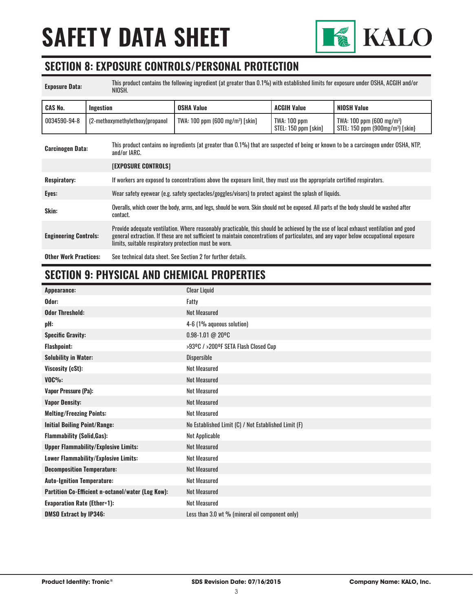

#### **SECTION 8: EXPOSURE CONTROLS/PERSONAL PROTECTION**

| <b>Exposure Data:</b>        | This product contains the following ingredient (at greater than 0.1%) with established limits for exposure under OSHA, ACGIH and/or<br>NIOSH. |                                                                                                                                                      |                                                                                                                                                                                                                                                                               |                                      |                                                                           |
|------------------------------|-----------------------------------------------------------------------------------------------------------------------------------------------|------------------------------------------------------------------------------------------------------------------------------------------------------|-------------------------------------------------------------------------------------------------------------------------------------------------------------------------------------------------------------------------------------------------------------------------------|--------------------------------------|---------------------------------------------------------------------------|
| <b>CAS No.</b>               | Ingestion                                                                                                                                     |                                                                                                                                                      | <b>OSHA Value</b>                                                                                                                                                                                                                                                             | <b>ACGIH Value</b>                   | <b>NIOSH Value</b>                                                        |
| 0034590-94-8                 |                                                                                                                                               | (2-methoxymethylethoxy)propanol                                                                                                                      | $TWA: 100 ppm (600 mg/m3)$ [skin]                                                                                                                                                                                                                                             | TWA: 100 ppm<br>STEL: 150 ppm [skin] | TWA: 100 ppm $(600 \text{ mg/m}^3)$<br>$STEL: 150 ppm (900 mg/m3)$ [skin] |
| <b>Carcinogen Data:</b>      |                                                                                                                                               | This product contains no ingredients (at greater than 0.1%) that are suspected of being or known to be a carcinogen under OSHA, NTP,<br>and/or IARC. |                                                                                                                                                                                                                                                                               |                                      |                                                                           |
|                              |                                                                                                                                               | <b>[EXPOSURE CONTROLS]</b>                                                                                                                           |                                                                                                                                                                                                                                                                               |                                      |                                                                           |
| <b>Respiratory:</b>          |                                                                                                                                               | If workers are exposed to concentrations above the exposure limit, they must use the appropriate certified respirators.                              |                                                                                                                                                                                                                                                                               |                                      |                                                                           |
| Eyes:                        |                                                                                                                                               | Wear safety eyewear (e.g. safety spectacles/goggles/visors) to protect against the splash of liquids.                                                |                                                                                                                                                                                                                                                                               |                                      |                                                                           |
| Skin:                        |                                                                                                                                               | Overalls, which cover the body, arms, and legs, should be worn. Skin should not be exposed. All parts of the body should be washed after<br>contact. |                                                                                                                                                                                                                                                                               |                                      |                                                                           |
| <b>Engineering Controls:</b> |                                                                                                                                               | limits, suitable respiratory protection must be worn.                                                                                                | Provide adequate ventilation. Where reasonably practicable, this should be achieved by the use of local exhaust ventilation and good<br>general extraction. If these are not sufficient to maintain concentrations of particulates, and any vapor below occupational exposure |                                      |                                                                           |
| <b>Other Work Practices:</b> |                                                                                                                                               | See technical data sheet. See Section 2 for further details.                                                                                         |                                                                                                                                                                                                                                                                               |                                      |                                                                           |

# **SECTION 9: PHYSICAL AND CHEMICAL PROPERTIES**

| Appearance:                                       | <b>Clear Liquid</b>                                  |
|---------------------------------------------------|------------------------------------------------------|
| Odor:                                             | Fatty                                                |
| <b>Odor Threshold:</b>                            | <b>Not Measured</b>                                  |
| pH:                                               | 4-6 (1% aqueous solution)                            |
| <b>Specific Gravity:</b>                          | 0.98-1.01 @ 20°C                                     |
| <b>Flashpoint:</b>                                | >93ºC / >200ºF SETA Flash Closed Cup                 |
| <b>Solubility in Water:</b>                       | <b>Dispersible</b>                                   |
| Viscosity (cSt):                                  | <b>Not Measured</b>                                  |
| $VOC\%$ :                                         | <b>Not Measured</b>                                  |
| <b>Vapor Pressure (Pa):</b>                       | <b>Not Measured</b>                                  |
| <b>Vapor Density:</b>                             | <b>Not Measured</b>                                  |
| <b>Melting/Freezing Points:</b>                   | <b>Not Measured</b>                                  |
| <b>Initial Boiling Point/Range:</b>               | No Established Limit (C) / Not Established Limit (F) |
| <b>Flammability (Solid, Gas):</b>                 | Not Applicable                                       |
| <b>Upper Flammability/Explosive Limits:</b>       | <b>Not Measured</b>                                  |
| Lower Flammability/Explosive Limits:              | <b>Not Measured</b>                                  |
| <b>Decomposition Temperature:</b>                 | <b>Not Measured</b>                                  |
| <b>Auto-Ignition Temperature:</b>                 | <b>Not Measured</b>                                  |
| Partition Co-Efficient n-octanol/water (Log Kow): | <b>Not Measured</b>                                  |
| <b>Evaporation Rate (Ether=1):</b>                | <b>Not Measured</b>                                  |
| <b>DMSO Extract by IP346:</b>                     | Less than 3.0 wt % (mineral oil component only)      |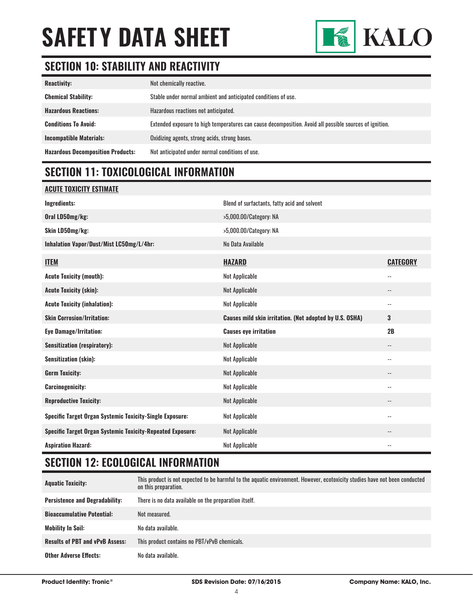

# **SECTION 10: STABILITY AND REACTIVITY**

| <b>Reactivity:</b>                       | Not chemically reactive.                                                                                |
|------------------------------------------|---------------------------------------------------------------------------------------------------------|
| <b>Chemical Stability:</b>               | Stable under normal ambient and anticipated conditions of use.                                          |
| <b>Hazardous Reactions:</b>              | Hazardous reactions not anticipated.                                                                    |
| <b>Conditions To Avoid:</b>              | Extended exposure to high temperatures can cause decomposition. Avoid all possible sources of ignition. |
| <b>Incompatible Materials:</b>           | Oxidizing agents, strong acids, strong bases.                                                           |
| <b>Hazardous Decomposition Products:</b> | Not anticipated under normal conditions of use.                                                         |

### **SECTION 11: TOXICOLOGICAL INFORMATION**

#### **ACUTE TOXICITY ESTIMATE**

| Ingredients:                                                      | Blend of surfactants, fatty acid and solvent            |                          |
|-------------------------------------------------------------------|---------------------------------------------------------|--------------------------|
| Oral LD50mg/kg:                                                   | >5,000.00/Category: NA                                  |                          |
| Skin LD50mg/kg:                                                   | >5,000.00/Category: NA                                  |                          |
| Inhalation Vapor/Dust/Mist LC50mg/L/4hr:                          | No Data Available                                       |                          |
| <b>ITEM</b>                                                       | <b>HAZARD</b>                                           | <b>CATEGORY</b>          |
| <b>Acute Toxicity (mouth):</b>                                    | Not Applicable                                          | $\overline{\phantom{a}}$ |
| <b>Acute Toxicity (skin):</b>                                     | Not Applicable                                          | $\overline{\phantom{m}}$ |
| <b>Acute Toxicity (inhalation):</b>                               | Not Applicable                                          | $\overline{\phantom{a}}$ |
| <b>Skin Corrosion/Irritation:</b>                                 | Causes mild skin irritation. (Not adopted by U.S. OSHA) | 3                        |
| <b>Eye Damage/Irritation:</b>                                     | <b>Causes eye irritation</b>                            | 2B                       |
|                                                                   |                                                         |                          |
| <b>Sensitization (respiratory):</b>                               | Not Applicable                                          | $\overline{\phantom{a}}$ |
| <b>Sensitization (skin):</b>                                      | Not Applicable                                          | $\overline{\phantom{a}}$ |
| <b>Germ Toxicity:</b>                                             | Not Applicable                                          | $\overline{\phantom{m}}$ |
| <b>Carcinogenicity:</b>                                           | Not Applicable                                          | $\overline{\phantom{a}}$ |
| <b>Reproductive Toxicity:</b>                                     | Not Applicable                                          | $\overline{\phantom{a}}$ |
| <b>Specific Target Organ Systemic Toxicity-Single Exposure:</b>   | Not Applicable                                          | $\overline{\phantom{a}}$ |
| <b>Specific Target Organ Systemic Toxicity-Repeated Exposure:</b> | Not Applicable                                          |                          |

## **SECTION 12: ECOLOGICAL INFORMATION**

| <b>Aquatic Toxicity:</b>               | This product is not expected to be harmful to the aquatic environment. However, ecotoxicity studies have not been conducted<br>on this preparation. |
|----------------------------------------|-----------------------------------------------------------------------------------------------------------------------------------------------------|
| <b>Persistence and Degradability:</b>  | There is no data available on the preparation itself.                                                                                               |
| <b>Bioaccumulative Potential:</b>      | Not measured.                                                                                                                                       |
| <b>Mobility In Soil:</b>               | No data available.                                                                                                                                  |
| <b>Results of PBT and vPvB Assess:</b> | This product contains no PBT/vPvB chemicals.                                                                                                        |
| <b>Other Adverse Effects:</b>          | No data available.                                                                                                                                  |